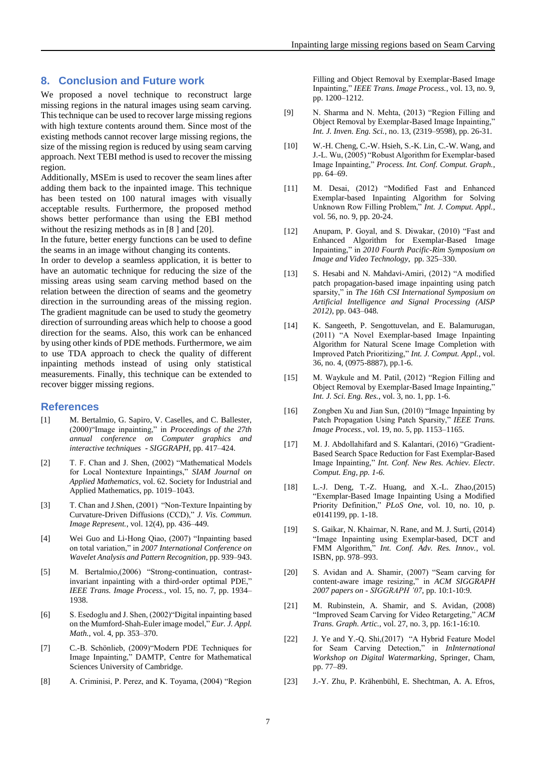## **8. Conclusion and Future work**

We proposed a novel technique to reconstruct large missing regions in the natural images using seam carving. This technique can be used to recover large missing regions with high texture contents around them. Since most of the existing methods cannot recover large missing regions, the size of the missing region is reduced by using seam carving approach. Next TEBI method is used to recover the missing region.

Additionally, MSEm is used to recover the seam lines after adding them back to the inpainted image. This technique has been tested on 100 natural images with visually acceptable results. Furthermore, the proposed method shows better performance than using the EBI method without the resizing methods as in [8] and [20].

In the future, better energy functions can be used to define the seams in an image without changing its contents.

In order to develop a seamless application, it is better to have an automatic technique for reducing the size of the missing areas using seam carving method based on the relation between the direction of seams and the geometry direction in the surrounding areas of the missing region. The gradient magnitude can be used to study the geometry direction of surrounding areas which help to choose a good direction for the seams. Also, this work can be enhanced by using other kinds of PDE methods. Furthermore, we aim to use TDA approach to check the quality of different inpainting methods instead of using only statistical measurements. Finally, this technique can be extended to recover bigger missing regions.

## **References**

- [1] M. Bertalmio, G. Sapiro, V. Caselles, and C. Ballester, (2000)"Image inpainting," in *Proceedings of the 27th annual conference on Computer graphics and interactive techniques - SIGGRAPH,* pp. 417–424.
- [2] T. F. Chan and J. Shen, (2002) "Mathematical Models for Local Nontexture Inpaintings," *SIAM Journal on Applied Mathematics*, vol. 62. Society for Industrial and Applied Mathematics, pp. 1019–1043.
- [3] T. Chan and J. Shen, (2001) "Non-Texture Inpainting by Curvature-Driven Diffusions (CCD)," *J. Vis. Commun. Image Represent.*, vol. 12(4), pp. 436–449.
- [4] Wei Guo and Li-Hong Qiao, (2007) "Inpainting based on total variation," in *2007 International Conference on Wavelet Analysis and Pattern Recognition*, pp. 939–943.
- [5] M. Bertalmio,(2006) "Strong-continuation, contrastinvariant inpainting with a third-order optimal PDE," *IEEE Trans. Image Process.*, vol. 15, no. 7, pp. 1934– 1938.
- [6] S. Esedoglu and J. Shen, (2002)"Digital inpainting based on the Mumford-Shah-Euler image model," *Eur. J. Appl. Math.*, vol. 4, pp. 353–370.
- [7] C.-B. Schönlieb, (2009)"Modern PDE Techniques for Image Inpainting," DAMTP, Centre for Mathematical Sciences University of Cambridge.
- [8] A. Criminisi, P. Perez, and K. Toyama, (2004) "Region

Filling and Object Removal by Exemplar-Based Image Inpainting," *IEEE Trans. Image Process.*, vol. 13, no. 9, pp. 1200–1212.

- [9] N. Sharma and N. Mehta, (2013) "Region Filling and Object Removal by Exemplar-Based Image Inpainting," *Int. J. Inven. Eng. Sci.*, no. 13, (2319–9598), pp. 26-31.
- [10] W.-H. Cheng, C.-W. Hsieh, S.-K. Lin, C.-W. Wang, and J.-L. Wu, (2005) "Robust Algorithm for Exemplar-based Image Inpainting," *Process. Int. Conf. Comput. Graph.*, pp. 64–69.
- [11] M. Desai, (2012) "Modified Fast and Enhanced Exemplar-based Inpainting Algorithm for Solving Unknown Row Filling Problem," *Int. J. Comput. Appl.*, vol. 56, no. 9, pp. 20-24.
- [12] Anupam, P. Goyal, and S. Diwakar, (2010) "Fast and Enhanced Algorithm for Exemplar-Based Image Inpainting," in *2010 Fourth Pacific-Rim Symposium on Image and Video Technology*, pp. 325–330.
- [13] S. Hesabi and N. Mahdavi-Amiri, (2012) "A modified patch propagation-based image inpainting using patch sparsity," in *The 16th CSI International Symposium on Artificial Intelligence and Signal Processing (AISP 2012)*, pp. 043–048.
- [14] K. Sangeeth, P. Sengottuvelan, and E. Balamurugan, (2011) "A Novel Exemplar-based Image Inpainting Algorithm for Natural Scene Image Completion with Improved Patch Prioritizing," *Int. J. Comput. Appl.*, vol. 36, no. 4, (0975-8887), pp.1-6.
- [15] M. Waykule and M. Patil, (2012) "Region Filling and Object Removal by Exemplar-Based Image Inpainting," *Int. J. Sci. Eng. Res.*, vol. 3, no. 1, pp. 1-6.
- [16] Zongben Xu and Jian Sun, (2010) "Image Inpainting by Patch Propagation Using Patch Sparsity," *IEEE Trans. Image Process.*, vol. 19, no. 5, pp. 1153–1165.
- [17] M. J. Abdollahifard and S. Kalantari, (2016) "Gradient-Based Search Space Reduction for Fast Exemplar-Based Image Inpainting," *Int. Conf. New Res. Achiev. Electr. Comput. Eng, pp. 1-6.*
- [18] L.-J. Deng, T.-Z. Huang, and X.-L. Zhao,(2015) "Exemplar-Based Image Inpainting Using a Modified Priority Definition," *PLoS One*, vol. 10, no. 10, p. e0141199, pp. 1-18.
- [19] S. Gaikar, N. Khairnar, N. Rane, and M. J. Surti, (2014) "Image Inpainting using Exemplar-based, DCT and FMM Algorithm," *Int. Conf. Adv. Res. Innov.*, vol. ISBN, pp. 978–993.
- [20] S. Avidan and A. Shamir, (2007) "Seam carving for content-aware image resizing," in *ACM SIGGRAPH 2007 papers on - SIGGRAPH '07*, pp. 10:1-10:9.
- [21] M. Rubinstein, A. Shamir, and S. Avidan, (2008) "Improved Seam Carving for Video Retargeting," *ACM Trans. Graph. Artic.*, vol. 27, no. 3, pp. 16:1-16:10.
- [22] J. Ye and Y.-Q. Shi,(2017) "A Hybrid Feature Model for Seam Carving Detection," in *InInternational Workshop on Digital Watermarking*, Springer, Cham, pp. 77–89.
- [23] J.-Y. Zhu, P. Krähenbühl, E. Shechtman, A. A. Efros,